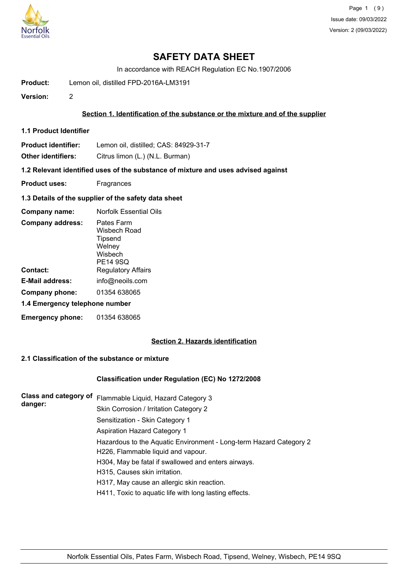

In accordance with REACH Regulation EC No.1907/2006

**Product:** Lemon oil, distilled FPD-2016A-LM3191

**Version:** 2

## **Section 1. Identification of the substance or the mixture and of the supplier**

**1.1 Product Identifier**

**Product identifier:** Lemon oil, distilled; CAS: 84929-31-7

**Other identifiers:** Citrus limon (L.) (N.L. Burman)

**1.2 Relevant identified uses of the substance of mixture and uses advised against**

- **Product uses:** Fragrances
- **1.3 Details of the supplier of the safety data sheet**

| Company name:                  | Norfolk Essential Oils                                                        |  |
|--------------------------------|-------------------------------------------------------------------------------|--|
| <b>Company address:</b>        | Pates Farm<br>Wisbech Road<br>Tipsend<br>Welney<br>Wisbech<br><b>PE14 9SQ</b> |  |
| Contact:                       | <b>Regulatory Affairs</b>                                                     |  |
| E-Mail address:                | info@neoils.com                                                               |  |
| Company phone:                 | 01354 638065                                                                  |  |
| 1.4 Emergency telephone number |                                                                               |  |
| <b>Emergency phone:</b>        | 01354 638065                                                                  |  |

# **Section 2. Hazards identification**

# **2.1 Classification of the substance or mixture**

## **Classification under Regulation (EC) No 1272/2008**

| <b>Class and category of</b><br>danger: | Flammable Liquid, Hazard Category 3                                |
|-----------------------------------------|--------------------------------------------------------------------|
|                                         | Skin Corrosion / Irritation Category 2                             |
|                                         | Sensitization - Skin Category 1                                    |
|                                         | Aspiration Hazard Category 1                                       |
|                                         | Hazardous to the Aquatic Environment - Long-term Hazard Category 2 |
|                                         | H226, Flammable liquid and vapour.                                 |
|                                         | H304, May be fatal if swallowed and enters airways.                |
|                                         | H315, Causes skin irritation.                                      |
|                                         | H317, May cause an allergic skin reaction.                         |
|                                         | H411, Toxic to aquatic life with long lasting effects.             |
|                                         |                                                                    |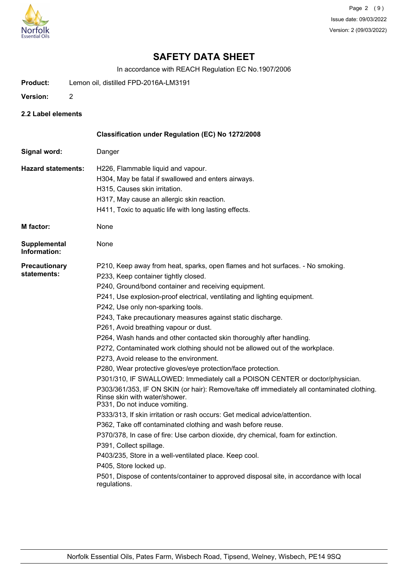

In accordance with REACH Regulation EC No.1907/2006

- **Product:** Lemon oil, distilled FPD-2016A-LM3191
- **Version:** 2
- **2.2 Label elements**

|                                     | Classification under Regulation (EC) No 1272/2008                                                                                                            |
|-------------------------------------|--------------------------------------------------------------------------------------------------------------------------------------------------------------|
| Signal word:                        | Danger                                                                                                                                                       |
| <b>Hazard statements:</b>           | H226, Flammable liquid and vapour.                                                                                                                           |
|                                     | H304, May be fatal if swallowed and enters airways.                                                                                                          |
|                                     | H315, Causes skin irritation.                                                                                                                                |
|                                     | H317, May cause an allergic skin reaction.                                                                                                                   |
|                                     | H411, Toxic to aquatic life with long lasting effects.                                                                                                       |
| <b>M</b> factor:                    | None                                                                                                                                                         |
| <b>Supplemental</b><br>Information: | None                                                                                                                                                         |
| <b>Precautionary</b>                | P210, Keep away from heat, sparks, open flames and hot surfaces. - No smoking.                                                                               |
| statements:                         | P233, Keep container tightly closed.                                                                                                                         |
|                                     | P240, Ground/bond container and receiving equipment.                                                                                                         |
|                                     | P241, Use explosion-proof electrical, ventilating and lighting equipment.                                                                                    |
|                                     | P242, Use only non-sparking tools.                                                                                                                           |
|                                     | P243, Take precautionary measures against static discharge.                                                                                                  |
|                                     | P261, Avoid breathing vapour or dust.                                                                                                                        |
|                                     | P264, Wash hands and other contacted skin thoroughly after handling.                                                                                         |
|                                     | P272, Contaminated work clothing should not be allowed out of the workplace.                                                                                 |
|                                     | P273, Avoid release to the environment.                                                                                                                      |
|                                     | P280, Wear protective gloves/eye protection/face protection.                                                                                                 |
|                                     | P301/310, IF SWALLOWED: Immediately call a POISON CENTER or doctor/physician.                                                                                |
|                                     | P303/361/353, IF ON SKIN (or hair): Remove/take off immediately all contaminated clothing.<br>Rinse skin with water/shower.<br>P331, Do not induce vomiting. |
|                                     | P333/313, If skin irritation or rash occurs: Get medical advice/attention.                                                                                   |
|                                     | P362, Take off contaminated clothing and wash before reuse.                                                                                                  |
|                                     | P370/378, In case of fire: Use carbon dioxide, dry chemical, foam for extinction.                                                                            |
|                                     | P391, Collect spillage.                                                                                                                                      |
|                                     | P403/235, Store in a well-ventilated place. Keep cool.                                                                                                       |
|                                     | P405, Store locked up.                                                                                                                                       |
|                                     | P501, Dispose of contents/container to approved disposal site, in accordance with local<br>regulations.                                                      |
|                                     |                                                                                                                                                              |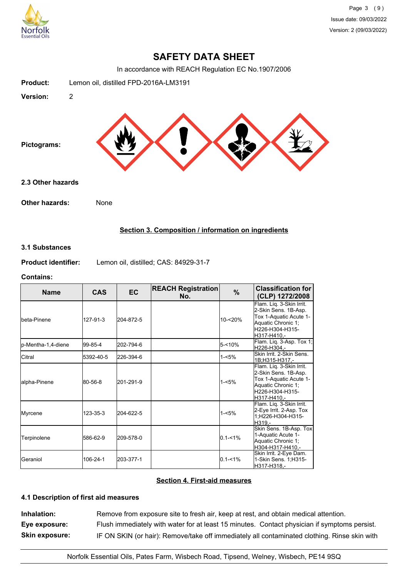

In accordance with REACH Regulation EC No.1907/2006



## **Section 3. Composition / information on ingredients**

### **3.1 Substances**

**Product identifier:** Lemon oil, distilled; CAS: 84929-31-7

#### **Contains:**

| <b>Name</b>         | <b>CAS</b> | <b>EC</b> | <b>REACH Registration</b><br>No. | %           | <b>Classification for</b><br>(CLP) 1272/2008                                                                                       |
|---------------------|------------|-----------|----------------------------------|-------------|------------------------------------------------------------------------------------------------------------------------------------|
| Ibeta-Pinene        | 127-91-3   | 204-872-5 |                                  | 10-<20%     | Flam. Liq. 3-Skin Irrit.<br>2-Skin Sens. 1B-Asp.<br>Tox 1-Aquatic Acute 1-<br>Aquatic Chronic 1;<br>H226-H304-H315-<br>H317-H410.- |
| lp-Mentha-1,4-diene | 99-85-4    | 202-794-6 |                                  | 5-<10%      | Flam. Liq. 3-Asp. Tox 1;<br>H226-H304.-                                                                                            |
| <b>Citral</b>       | 5392-40-5  | 226-394-6 |                                  | $1 - 5%$    | Skin Irrit, 2-Skin Sens.<br>1B:H315-H317.-                                                                                         |
| lalpha-Pinene       | 80-56-8    | 201-291-9 |                                  | $1 - 5%$    | Flam. Liq. 3-Skin Irrit.<br>2-Skin Sens. 1B-Asp.<br>Tox 1-Aquatic Acute 1-<br>Aquatic Chronic 1;<br>H226-H304-H315-<br>H317-H410.- |
| Myrcene             | 123-35-3   | 204-622-5 |                                  | $1 - 5%$    | Flam. Liq. 3-Skin Irrit.<br>2-Eye Irrit. 2-Asp. Tox<br>1;H226-H304-H315-<br>H319.-                                                 |
| Terpinolene         | 586-62-9   | 209-578-0 |                                  | $0.1 - 1\%$ | Skin Sens. 1B-Asp. Tox<br>1-Aquatic Acute 1-<br>Aquatic Chronic 1;<br>H304-H317-H410,-                                             |
| lGeraniol           | 106-24-1   | 203-377-1 |                                  | $0.1 - 1\%$ | Skin Irrit. 2-Eye Dam.<br>1-Skin Sens. 1; H315-<br>H317-H318,-                                                                     |

# **Section 4. First-aid measures**

# **4.1 Description of first aid measures**

**Inhalation:** Remove from exposure site to fresh air, keep at rest, and obtain medical attention. **Eye exposure:** Flush immediately with water for at least 15 minutes. Contact physician if symptoms persist. **Skin exposure:** IF ON SKIN (or hair): Remove/take off immediately all contaminated clothing. Rinse skin with

Norfolk Essential Oils, Pates Farm, Wisbech Road, Tipsend, Welney, Wisbech, PE14 9SQ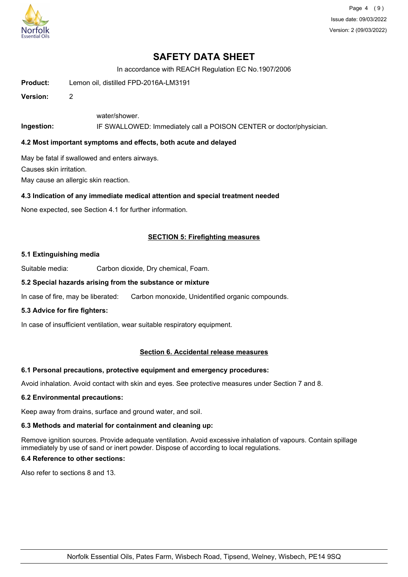

Page 4 (9) Issue date: 09/03/2022 Version: 2 (09/03/2022)

# **SAFETY DATA SHEET**

In accordance with REACH Regulation EC No.1907/2006

**Product:** Lemon oil, distilled FPD-2016A-LM3191

**Version:** 2

water/shower.

**Ingestion:** IF SWALLOWED: Immediately call a POISON CENTER or doctor/physician.

### **4.2 Most important symptoms and effects, both acute and delayed**

May be fatal if swallowed and enters airways.

Causes skin irritation.

May cause an allergic skin reaction.

### **4.3 Indication of any immediate medical attention and special treatment needed**

None expected, see Section 4.1 for further information.

## **SECTION 5: Firefighting measures**

#### **5.1 Extinguishing media**

Suitable media: Carbon dioxide, Dry chemical, Foam.

### **5.2 Special hazards arising from the substance or mixture**

In case of fire, may be liberated: Carbon monoxide, Unidentified organic compounds.

### **5.3 Advice for fire fighters:**

In case of insufficient ventilation, wear suitable respiratory equipment.

## **Section 6. Accidental release measures**

#### **6.1 Personal precautions, protective equipment and emergency procedures:**

Avoid inhalation. Avoid contact with skin and eyes. See protective measures under Section 7 and 8.

#### **6.2 Environmental precautions:**

Keep away from drains, surface and ground water, and soil.

### **6.3 Methods and material for containment and cleaning up:**

Remove ignition sources. Provide adequate ventilation. Avoid excessive inhalation of vapours. Contain spillage immediately by use of sand or inert powder. Dispose of according to local regulations.

### **6.4 Reference to other sections:**

Also refer to sections 8 and 13.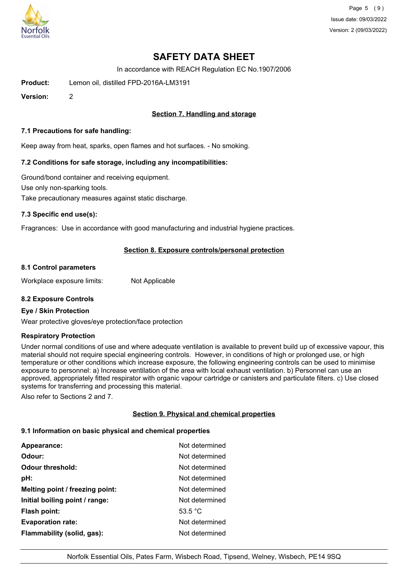

Page 5 (9) Issue date: 09/03/2022 Version: 2 (09/03/2022)

# **SAFETY DATA SHEET**

In accordance with REACH Regulation EC No.1907/2006

**Product:** Lemon oil, distilled FPD-2016A-LM3191

**Version:** 2

# **Section 7. Handling and storage**

### **7.1 Precautions for safe handling:**

Keep away from heat, sparks, open flames and hot surfaces. - No smoking.

## **7.2 Conditions for safe storage, including any incompatibilities:**

Ground/bond container and receiving equipment. Use only non-sparking tools. Take precautionary measures against static discharge.

### **7.3 Specific end use(s):**

Fragrances: Use in accordance with good manufacturing and industrial hygiene practices.

## **Section 8. Exposure controls/personal protection**

#### **8.1 Control parameters**

Workplace exposure limits: Not Applicable

## **8.2 Exposure Controls**

#### **Eye / Skin Protection**

Wear protective gloves/eye protection/face protection

#### **Respiratory Protection**

Under normal conditions of use and where adequate ventilation is available to prevent build up of excessive vapour, this material should not require special engineering controls. However, in conditions of high or prolonged use, or high temperature or other conditions which increase exposure, the following engineering controls can be used to minimise exposure to personnel: a) Increase ventilation of the area with local exhaust ventilation. b) Personnel can use an approved, appropriately fitted respirator with organic vapour cartridge or canisters and particulate filters. c) Use closed systems for transferring and processing this material.

Also refer to Sections 2 and 7.

## **Section 9. Physical and chemical properties**

#### **9.1 Information on basic physical and chemical properties**

| Appearance:                     | Not determined |
|---------------------------------|----------------|
| Odour:                          | Not determined |
| <b>Odour threshold:</b>         | Not determined |
| pH:                             | Not determined |
| Melting point / freezing point: | Not determined |
| Initial boiling point / range:  | Not determined |
| <b>Flash point:</b>             | 53.5 °C        |
| <b>Evaporation rate:</b>        | Not determined |
| Flammability (solid, gas):      | Not determined |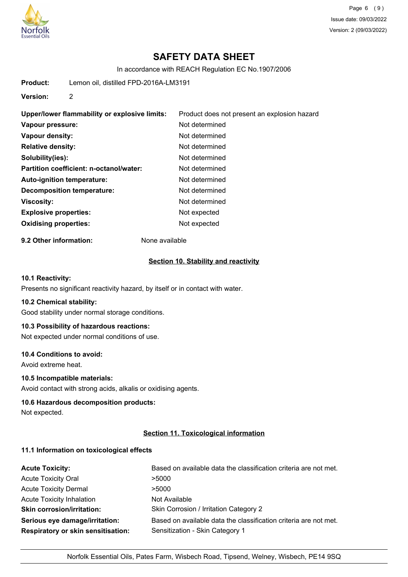

Page 6 (9) Issue date: 09/03/2022 Version: 2 (09/03/2022)

# **SAFETY DATA SHEET**

In accordance with REACH Regulation EC No.1907/2006

**Product:** Lemon oil, distilled FPD-2016A-LM3191

**Version:** 2

| Upper/lower flammability or explosive limits: | Product does not present an explosion hazard |
|-----------------------------------------------|----------------------------------------------|
| Vapour pressure:                              | Not determined                               |
| Vapour density:                               | Not determined                               |
| <b>Relative density:</b>                      | Not determined                               |
| Solubility(ies):                              | Not determined                               |
| Partition coefficient: n-octanol/water:       | Not determined                               |
| Auto-ignition temperature:                    | Not determined                               |
| Decomposition temperature:                    | Not determined                               |
| <b>Viscosity:</b>                             | Not determined                               |
| <b>Explosive properties:</b>                  | Not expected                                 |
| <b>Oxidising properties:</b>                  | Not expected                                 |

**9.2 Other information:** None available

### **Section 10. Stability and reactivity**

## **10.1 Reactivity:**

Presents no significant reactivity hazard, by itself or in contact with water.

#### **10.2 Chemical stability:**

Good stability under normal storage conditions.

# **10.3 Possibility of hazardous reactions:**

Not expected under normal conditions of use.

### **10.4 Conditions to avoid:**

Avoid extreme heat.

# **10.5 Incompatible materials:**

Avoid contact with strong acids, alkalis or oxidising agents.

### **10.6 Hazardous decomposition products:**

Not expected.

## **Section 11. Toxicological information**

#### **11.1 Information on toxicological effects**

| <b>Acute Toxicity:</b>                    | Based on available data the classification criteria are not met. |
|-------------------------------------------|------------------------------------------------------------------|
| <b>Acute Toxicity Oral</b>                | >5000                                                            |
| <b>Acute Toxicity Dermal</b>              | >5000                                                            |
| <b>Acute Toxicity Inhalation</b>          | Not Available                                                    |
| <b>Skin corrosion/irritation:</b>         | Skin Corrosion / Irritation Category 2                           |
| Serious eye damage/irritation:            | Based on available data the classification criteria are not met. |
| <b>Respiratory or skin sensitisation:</b> | Sensitization - Skin Category 1                                  |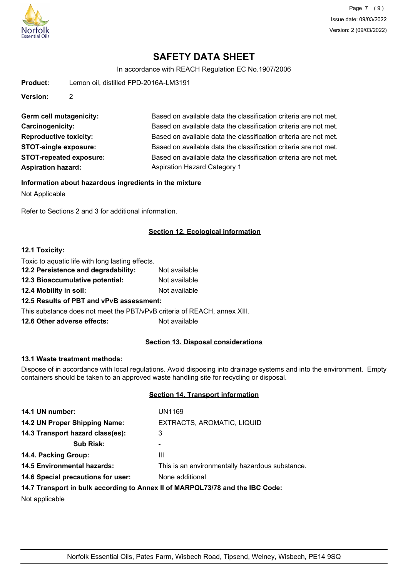

In accordance with REACH Regulation EC No.1907/2006

**Product:** Lemon oil, distilled FPD-2016A-LM3191

**Version:** 2

**Aspiration hazard:** Aspiration Hazard Category 1

Germ cell mutagenicity: Based on available data the classification criteria are not met. **Carcinogenicity:** Based on available data the classification criteria are not met. **Reproductive toxicity:** Based on available data the classification criteria are not met. **STOT-single exposure:** Based on available data the classification criteria are not met. **STOT-repeated exposure:** Based on available data the classification criteria are not met.

**Information about hazardous ingredients in the mixture**

Not Applicable

Refer to Sections 2 and 3 for additional information.

# **Section 12. Ecological information**

## **12.1 Toxicity:**

| Toxic to aquatic life with long lasting effects.                         |               |
|--------------------------------------------------------------------------|---------------|
| 12.2 Persistence and degradability:                                      | Not available |
| 12.3 Bioaccumulative potential:                                          | Not available |
| 12.4 Mobility in soil:                                                   | Not available |
| 12.5 Results of PBT and vPvB assessment:                                 |               |
| This substance does not meet the PBT/vPvB criteria of REACH, annex XIII. |               |
| 12.6 Other adverse effects:                                              | Not available |

# **Section 13. Disposal considerations**

## **13.1 Waste treatment methods:**

Dispose of in accordance with local regulations. Avoid disposing into drainage systems and into the environment. Empty containers should be taken to an approved waste handling site for recycling or disposal.

## **Section 14. Transport information**

| 14.1 UN number:                    | <b>UN1169</b>                                                                                                                                                                                                                  |
|------------------------------------|--------------------------------------------------------------------------------------------------------------------------------------------------------------------------------------------------------------------------------|
| 14.2 UN Proper Shipping Name:      | EXTRACTS, AROMATIC, LIQUID                                                                                                                                                                                                     |
| 14.3 Transport hazard class(es):   | 3                                                                                                                                                                                                                              |
| <b>Sub Risk:</b>                   | ۰                                                                                                                                                                                                                              |
| 14.4. Packing Group:               | Ш                                                                                                                                                                                                                              |
| <b>14.5 Environmental hazards:</b> | This is an environmentally hazardous substance.                                                                                                                                                                                |
| 14.6 Special precautions for user: | None additional                                                                                                                                                                                                                |
|                                    | 44 W. The concentration in the constitution of a concentration of MADDO and Maddon and Maddon Constitution of the Constitution of the Constitution of the Constitution of the Constitution of the Constitution of the Constitu |

## **14.7 Transport in bulk according to Annex II of MARPOL73/78 and the IBC Code:**

Not applicable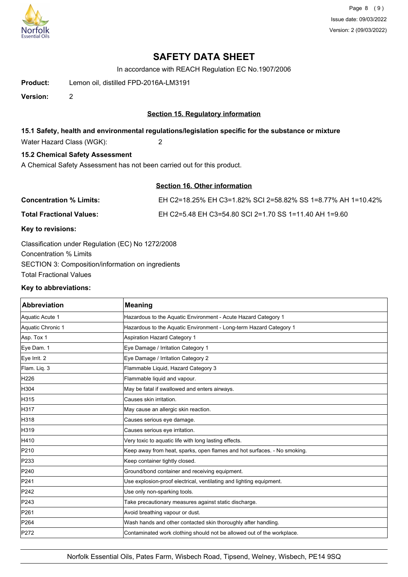

Page 8 (9) Issue date: 09/03/2022 Version: 2 (09/03/2022)

# **SAFETY DATA SHEET**

In accordance with REACH Regulation EC No.1907/2006

**Product:** Lemon oil, distilled FPD-2016A-LM3191

**Version:** 2

## **Section 15. Regulatory information**

## **15.1 Safety, health and environmental regulations/legislation specific for the substance or mixture**

Water Hazard Class (WGK): 2

## **15.2 Chemical Safety Assessment**

A Chemical Safety Assessment has not been carried out for this product.

# **Section 16. Other information**

| <b>Concentration % Limits:</b>  | EH C2=18.25% EH C3=1.82% SCI 2=58.82% SS 1=8.77% AH 1=10.42% |
|---------------------------------|--------------------------------------------------------------|
| <b>Total Fractional Values:</b> | EH C2=5.48 EH C3=54.80 SCI 2=1.70 SS 1=11.40 AH 1=9.60       |

### **Key to revisions:**

Classification under Regulation (EC) No 1272/2008 Concentration % Limits SECTION 3: Composition/information on ingredients Total Fractional Values

#### **Key to abbreviations:**

| <b>Abbreviation</b> | <b>Meaning</b>                                                           |
|---------------------|--------------------------------------------------------------------------|
| Aquatic Acute 1     | Hazardous to the Aquatic Environment - Acute Hazard Category 1           |
| Aquatic Chronic 1   | Hazardous to the Aquatic Environment - Long-term Hazard Category 1       |
| Asp. Tox 1          | Aspiration Hazard Category 1                                             |
| Eye Dam. 1          | Eye Damage / Irritation Category 1                                       |
| Eye Irrit. 2        | Eye Damage / Irritation Category 2                                       |
| Flam. Liq. 3        | Flammable Liquid, Hazard Category 3                                      |
| H <sub>226</sub>    | Flammable liquid and vapour.                                             |
| H304                | May be fatal if swallowed and enters airways.                            |
| H315                | Causes skin irritation.                                                  |
| H317                | May cause an allergic skin reaction.                                     |
| H318                | Causes serious eye damage.                                               |
| H319                | Causes serious eye irritation.                                           |
| H410                | Very toxic to aquatic life with long lasting effects.                    |
| P210                | Keep away from heat, sparks, open flames and hot surfaces. - No smoking. |
| P233                | Keep container tightly closed.                                           |
| P240                | Ground/bond container and receiving equipment.                           |
| P241                | Use explosion-proof electrical, ventilating and lighting equipment.      |
| P242                | Use only non-sparking tools.                                             |
| P243                | Take precautionary measures against static discharge.                    |
| P261                | Avoid breathing vapour or dust.                                          |
| P264                | Wash hands and other contacted skin thoroughly after handling.           |
| P272                | Contaminated work clothing should not be allowed out of the workplace.   |